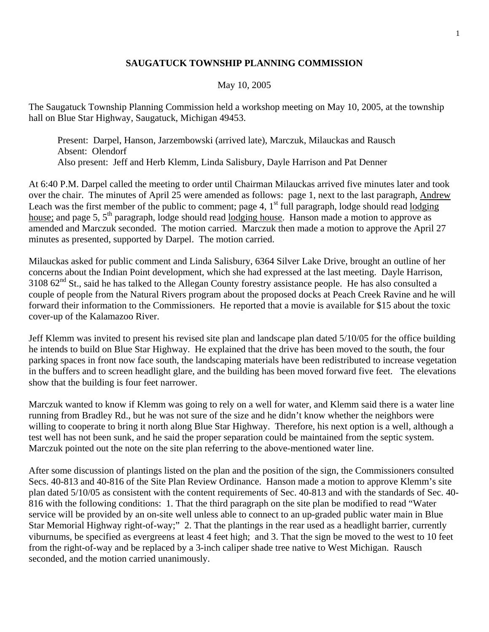## **SAUGATUCK TOWNSHIP PLANNING COMMISSION**

## May 10, 2005

The Saugatuck Township Planning Commission held a workshop meeting on May 10, 2005, at the township hall on Blue Star Highway, Saugatuck, Michigan 49453.

 Present: Darpel, Hanson, Jarzembowski (arrived late), Marczuk, Milauckas and Rausch Absent: Olendorf Also present: Jeff and Herb Klemm, Linda Salisbury, Dayle Harrison and Pat Denner

At 6:40 P.M. Darpel called the meeting to order until Chairman Milauckas arrived five minutes later and took over the chair. The minutes of April 25 were amended as follows: page 1, next to the last paragraph, Andrew Leach was the first member of the public to comment; page 4,  $1<sup>st</sup>$  full paragraph, lodge should read lodging house; and page 5, 5<sup>th</sup> paragraph, lodge should read lodging house. Hanson made a motion to approve as amended and Marczuk seconded. The motion carried. Marczuk then made a motion to approve the April 27 minutes as presented, supported by Darpel. The motion carried.

Milauckas asked for public comment and Linda Salisbury, 6364 Silver Lake Drive, brought an outline of her concerns about the Indian Point development, which she had expressed at the last meeting. Dayle Harrison,  $3108$   $62<sup>nd</sup>$  St., said he has talked to the Allegan County forestry assistance people. He has also consulted a couple of people from the Natural Rivers program about the proposed docks at Peach Creek Ravine and he will forward their information to the Commissioners. He reported that a movie is available for \$15 about the toxic cover-up of the Kalamazoo River.

Jeff Klemm was invited to present his revised site plan and landscape plan dated 5/10/05 for the office building he intends to build on Blue Star Highway. He explained that the drive has been moved to the south, the four parking spaces in front now face south, the landscaping materials have been redistributed to increase vegetation in the buffers and to screen headlight glare, and the building has been moved forward five feet. The elevations show that the building is four feet narrower.

Marczuk wanted to know if Klemm was going to rely on a well for water, and Klemm said there is a water line running from Bradley Rd., but he was not sure of the size and he didn't know whether the neighbors were willing to cooperate to bring it north along Blue Star Highway. Therefore, his next option is a well, although a test well has not been sunk, and he said the proper separation could be maintained from the septic system. Marczuk pointed out the note on the site plan referring to the above-mentioned water line.

After some discussion of plantings listed on the plan and the position of the sign, the Commissioners consulted Secs. 40-813 and 40-816 of the Site Plan Review Ordinance. Hanson made a motion to approve Klemm's site plan dated 5/10/05 as consistent with the content requirements of Sec. 40-813 and with the standards of Sec. 40- 816 with the following conditions: 1. That the third paragraph on the site plan be modified to read "Water service will be provided by an on-site well unless able to connect to an up-graded public water main in Blue Star Memorial Highway right-of-way;" 2. That the plantings in the rear used as a headlight barrier, currently viburnums, be specified as evergreens at least 4 feet high; and 3. That the sign be moved to the west to 10 feet from the right-of-way and be replaced by a 3-inch caliper shade tree native to West Michigan. Rausch seconded, and the motion carried unanimously.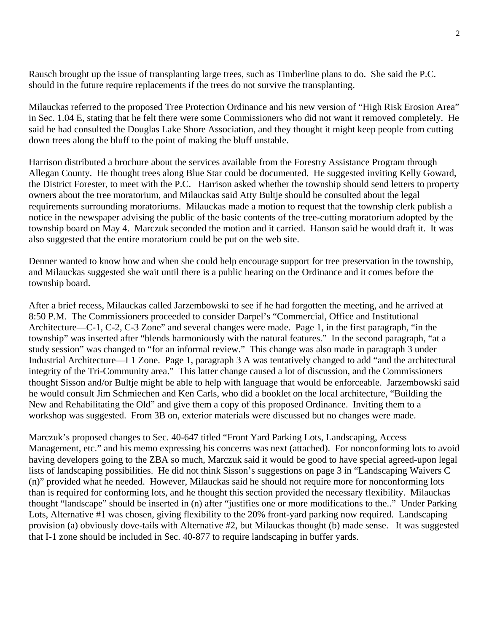Rausch brought up the issue of transplanting large trees, such as Timberline plans to do. She said the P.C. should in the future require replacements if the trees do not survive the transplanting.

Milauckas referred to the proposed Tree Protection Ordinance and his new version of "High Risk Erosion Area" in Sec. 1.04 E, stating that he felt there were some Commissioners who did not want it removed completely. He said he had consulted the Douglas Lake Shore Association, and they thought it might keep people from cutting down trees along the bluff to the point of making the bluff unstable.

Harrison distributed a brochure about the services available from the Forestry Assistance Program through Allegan County. He thought trees along Blue Star could be documented. He suggested inviting Kelly Goward, the District Forester, to meet with the P.C. Harrison asked whether the township should send letters to property owners about the tree moratorium, and Milauckas said Atty Bultje should be consulted about the legal requirements surrounding moratoriums. Milauckas made a motion to request that the township clerk publish a notice in the newspaper advising the public of the basic contents of the tree-cutting moratorium adopted by the township board on May 4. Marczuk seconded the motion and it carried. Hanson said he would draft it. It was also suggested that the entire moratorium could be put on the web site.

Denner wanted to know how and when she could help encourage support for tree preservation in the township, and Milauckas suggested she wait until there is a public hearing on the Ordinance and it comes before the township board.

After a brief recess, Milauckas called Jarzembowski to see if he had forgotten the meeting, and he arrived at 8:50 P.M. The Commissioners proceeded to consider Darpel's "Commercial, Office and Institutional Architecture—C-1, C-2, C-3 Zone" and several changes were made. Page 1, in the first paragraph, "in the township" was inserted after "blends harmoniously with the natural features." In the second paragraph, "at a study session" was changed to "for an informal review." This change was also made in paragraph 3 under Industrial Architecture—I 1 Zone. Page 1, paragraph 3 A was tentatively changed to add "and the architectural integrity of the Tri-Community area." This latter change caused a lot of discussion, and the Commissioners thought Sisson and/or Bultje might be able to help with language that would be enforceable. Jarzembowski said he would consult Jim Schmiechen and Ken Carls, who did a booklet on the local architecture, "Building the New and Rehabilitating the Old" and give them a copy of this proposed Ordinance. Inviting them to a workshop was suggested. From 3B on, exterior materials were discussed but no changes were made.

Marczuk's proposed changes to Sec. 40-647 titled "Front Yard Parking Lots, Landscaping, Access Management, etc." and his memo expressing his concerns was next (attached). For nonconforming lots to avoid having developers going to the ZBA so much, Marczuk said it would be good to have special agreed-upon legal lists of landscaping possibilities. He did not think Sisson's suggestions on page 3 in "Landscaping Waivers C (n)" provided what he needed. However, Milauckas said he should not require more for nonconforming lots than is required for conforming lots, and he thought this section provided the necessary flexibility. Milauckas thought "landscape" should be inserted in (n) after "justifies one or more modifications to the.." Under Parking Lots, Alternative #1 was chosen, giving flexibility to the 20% front-yard parking now required. Landscaping provision (a) obviously dove-tails with Alternative #2, but Milauckas thought (b) made sense. It was suggested that I-1 zone should be included in Sec. 40-877 to require landscaping in buffer yards.